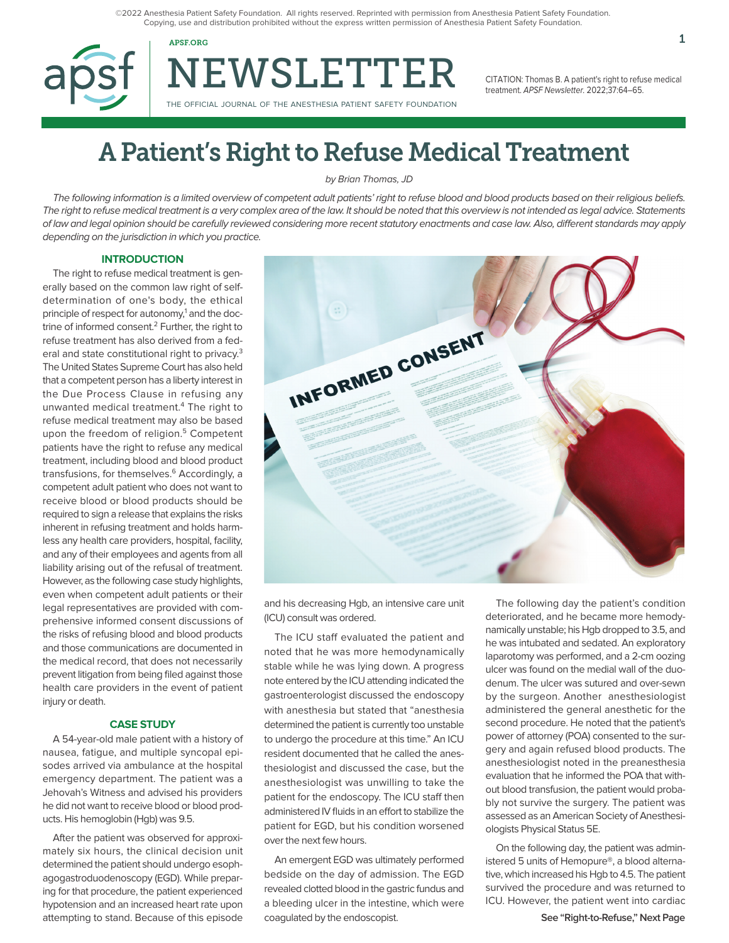©2022 Anesthesia Patient Safety Foundation. All rights reserved. Reprinted with permission from Anesthesia Patient Safety Foundation. Copying, use and distribution prohibited without the express written permission of Anesthesia Patient Safety Foundation.

NEWSLETTER

THE OFFICIAL JOURNAL OF THE ANESTHESIA PATIENT SAFETY FOUNDATION

CITATION: Thomas B. A patient's right to refuse medical treatment. APSF Newsletter. 2022;37:64–65.

# A Patient's Right to Refuse Medical Treatment

by Brian Thomas, JD

The following information is a limited overview of competent adult patients' right to refuse blood and blood products based on their religious beliefs. The right to refuse medical treatment is a very complex area of the law. It should be noted that this overview is not intended as legal advice. Statements of law and legal opinion should be carefully reviewed considering more recent statutory enactments and case law. Also, different standards may apply depending on the jurisdiction in which you practice.

## **INTRODUCTION**

The right to refuse medical treatment is generally based on the common law right of selfdetermination of one's body, the ethical principle of respect for autonomy,<sup>1</sup> and the doctrine of informed consent.<sup>2</sup> Further, the right to refuse treatment has also derived from a federal and state constitutional right to privacy.3 The United States Supreme Court has also held that a competent person has a liberty interest in the Due Process Clause in refusing any unwanted medical treatment.<sup>4</sup> The right to refuse medical treatment may also be based upon the freedom of religion.<sup>5</sup> Competent patients have the right to refuse any medical treatment, including blood and blood product transfusions, for themselves.<sup>6</sup> Accordingly, a competent adult patient who does not want to receive blood or blood products should be required to sign a release that explains the risks inherent in refusing treatment and holds harmless any health care providers, hospital, facility, and any of their employees and agents from all liability arising out of the refusal of treatment. However, as the following case study highlights, even when competent adult patients or their legal representatives are provided with comprehensive informed consent discussions of the risks of refusing blood and blood products and those communications are documented in the medical record, that does not necessarily prevent litigation from being filed against those health care providers in the event of patient injury or death.

### **CASE STUDY**

A 54-year-old male patient with a history of nausea, fatigue, and multiple syncopal episodes arrived via ambulance at the hospital emergency department. The patient was a Jehovah's Witness and advised his providers he did not want to receive blood or blood products. His hemoglobin (Hgb) was 9.5.

After the patient was observed for approximately six hours, the clinical decision unit determined the patient should undergo esophagogastroduodenoscopy (EGD). While preparing for that procedure, the patient experienced hypotension and an increased heart rate upon attempting to stand. Because of this episode



and his decreasing Hgb, an intensive care unit (ICU) consult was ordered.

The ICU staff evaluated the patient and noted that he was more hemodynamically stable while he was lying down. A progress note entered by the ICU attending indicated the gastroenterologist discussed the endoscopy with anesthesia but stated that "anesthesia determined the patient is currently too unstable to undergo the procedure at this time." An ICU resident documented that he called the anesthesiologist and discussed the case, but the anesthesiologist was unwilling to take the patient for the endoscopy. The ICU staff then administered IV fluids in an effort to stabilize the patient for EGD, but his condition worsened over the next few hours.

An emergent EGD was ultimately performed bedside on the day of admission. The EGD revealed clotted blood in the gastric fundus and a bleeding ulcer in the intestine, which were coagulated by the endoscopist.

The following day the patient's condition deteriorated, and he became more hemodynamically unstable; his Hgb dropped to 3.5, and he was intubated and sedated. An exploratory laparotomy was performed, and a 2-cm oozing ulcer was found on the medial wall of the duodenum. The ulcer was sutured and over-sewn by the surgeon. Another anesthesiologist administered the general anesthetic for the second procedure. He noted that the patient's power of attorney (POA) consented to the surgery and again refused blood products. The anesthesiologist noted in the preanesthesia evaluation that he informed the POA that without blood transfusion, the patient would probably not survive the surgery. The patient was assessed as an American Society of Anesthesiologists Physical Status 5E.

On the following day, the patient was administered 5 units of Hemopure®, a blood alternative, which increased his Hgb to 4.5. The patient survived the procedure and was returned to ICU. However, the patient went into cardiac